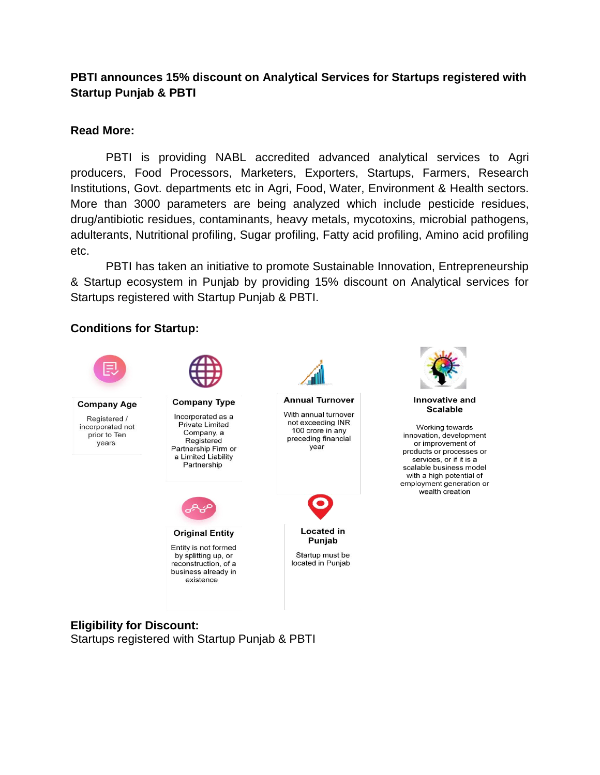# **PBTI announces 15% discount on Analytical Services for Startups registered with Startup Punjab & PBTI**

## **Read More:**

PBTI is providing NABL accredited advanced analytical services to Agri producers, Food Processors, Marketers, Exporters, Startups, Farmers, Research Institutions, Govt. departments etc in Agri, Food, Water, Environment & Health sectors. More than 3000 parameters are being analyzed which include pesticide residues, drug/antibiotic residues, contaminants, heavy metals, mycotoxins, microbial pathogens, adulterants, Nutritional profiling, Sugar profiling, Fatty acid profiling, Amino acid profiling etc.

PBTI has taken an initiative to promote Sustainable Innovation, Entrepreneurship & Startup ecosystem in Punjab by providing 15% discount on Analytical services for Startups registered with Startup Punjab & PBTI.

## **Conditions for Startup:**



### **Eligibility for Discount:**

Startups registered with Startup Punjab & PBTI